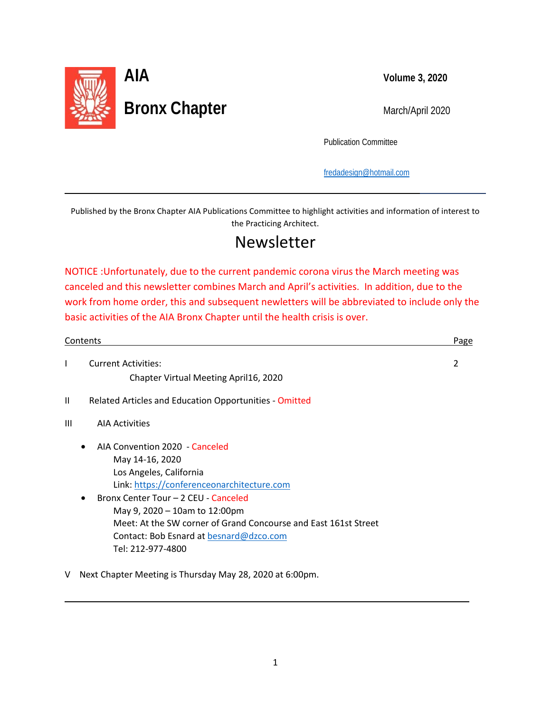

l

L

Publication Committee

[fredadesign@hotmail.com](mailto:fredadesign@hotmail.com)

Published by the Bronx Chapter AIA Publications Committee to highlight activities and information of interest to the Practicing Architect.

# Newsletter

NOTICE :Unfortunately, due to the current pandemic corona virus the March meeting was canceled and this newsletter combines March and April's activities. In addition, due to the work from home order, this and subsequent newletters will be abbreviated to include only the basic activities of the AIA Bronx Chapter until the health crisis is over.

| Contents     |                                                                 | Page |
|--------------|-----------------------------------------------------------------|------|
| T            | <b>Current Activities:</b>                                      | 2    |
|              | Chapter Virtual Meeting April16, 2020                           |      |
| $\mathbf{I}$ | Related Articles and Education Opportunities - Omitted          |      |
| Ш            | <b>AIA Activities</b>                                           |      |
|              | AIA Convention 2020 - Canceled                                  |      |
|              | May 14-16, 2020                                                 |      |
|              | Los Angeles, California                                         |      |
|              | Link: https://conferenceonarchitecture.com                      |      |
|              | Bronx Center Tour - 2 CEU - Canceled<br>$\bullet$               |      |
|              | May 9, 2020 - 10am to 12:00pm                                   |      |
|              | Meet: At the SW corner of Grand Concourse and East 161st Street |      |
|              | Contact: Bob Esnard at besnard@dzco.com                         |      |
|              | Tel: 212-977-4800                                               |      |
| v            | Next Chapter Meeting is Thursday May 28, 2020 at 6:00pm.        |      |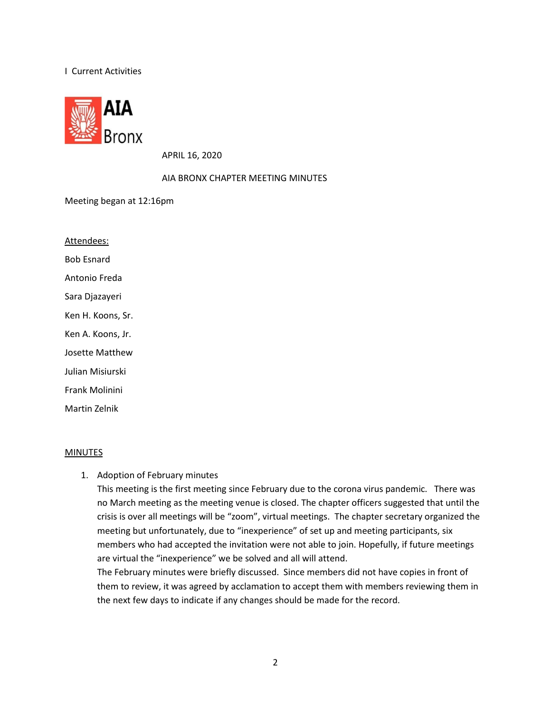### I Current Activities



APRIL 16, 2020

#### AIA BRONX CHAPTER MEETING MINUTES

Meeting began at 12:16pm

Bob Esnard Attendees:

Antonio Freda

Sara Djazayeri

Ken H. Koons, Sr.

Ken A. Koons, Jr.

Josette Matthew

Julian Misiurski

Frank Molinini

Martin Zelnik

#### **MINUTES**

1. Adoption of February minutes

This meeting is the first meeting since February due to the corona virus pandemic. There was no March meeting as the meeting venue is closed. The chapter officers suggested that until the crisis is over all meetings will be "zoom", virtual meetings. The chapter secretary organized the meeting but unfortunately, due to "inexperience" of set up and meeting participants, six members who had accepted the invitation were not able to join. Hopefully, if future meetings are virtual the "inexperience" we be solved and all will attend.

The February minutes were briefly discussed. Since members did not have copies in front of them to review, it was agreed by acclamation to accept them with members reviewing them in the next few days to indicate if any changes should be made for the record.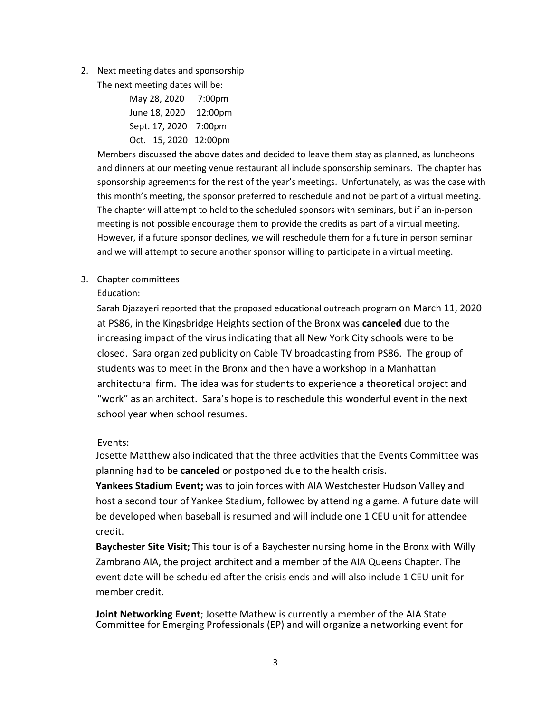2. Next meeting dates and sponsorship

The next meeting dates will be:

| May 28, 2020          | 7:00 <sub>pm</sub>  |
|-----------------------|---------------------|
| June 18, 2020         | 12:00 <sub>pm</sub> |
| Sept. 17, 2020 7:00pm |                     |
| Oct. 15, 2020 12:00pm |                     |

Members discussed the above dates and decided to leave them stay as planned, as luncheons and dinners at our meeting venue restaurant all include sponsorship seminars. The chapter has sponsorship agreements for the rest of the year's meetings. Unfortunately, as was the case with this month's meeting, the sponsor preferred to reschedule and not be part of a virtual meeting. The chapter will attempt to hold to the scheduled sponsors with seminars, but if an in-person meeting is not possible encourage them to provide the credits as part of a virtual meeting. However, if a future sponsor declines, we will reschedule them for a future in person seminar and we will attempt to secure another sponsor willing to participate in a virtual meeting.

3. Chapter committees

Education:

Sarah Djazayeri reported that the proposed educational outreach program on March 11, 2020 at PS86, in the Kingsbridge Heights section of the Bronx was **canceled** due to the increasing impact of the virus indicating that all New York City schools were to be closed. Sara organized publicity on Cable TV broadcasting from PS86. The group of students was to meet in the Bronx and then have a workshop in a Manhattan architectural firm. The idea was for students to experience a theoretical project and "work" as an architect. Sara's hope is to reschedule this wonderful event in the next school year when school resumes.

Events:

Josette Matthew also indicated that the three activities that the Events Committee was planning had to be **canceled** or postponed due to the health crisis.

**Yankees Stadium Event;** was to join forces with AIA Westchester Hudson Valley and host a second tour of Yankee Stadium, followed by attending a game. A future date will be developed when baseball is resumed and will include one 1 CEU unit for attendee credit.

**Baychester Site Visit;** This tour is of a Baychester nursing home in the Bronx with Willy Zambrano AIA, the project architect and a member of the AIA Queens Chapter. The event date will be scheduled after the crisis ends and will also include 1 CEU unit for member credit.

**Joint Networking Event**; Josette Mathew is currently a member of the AIA State Committee for Emerging Professionals (EP) and will organize a networking event for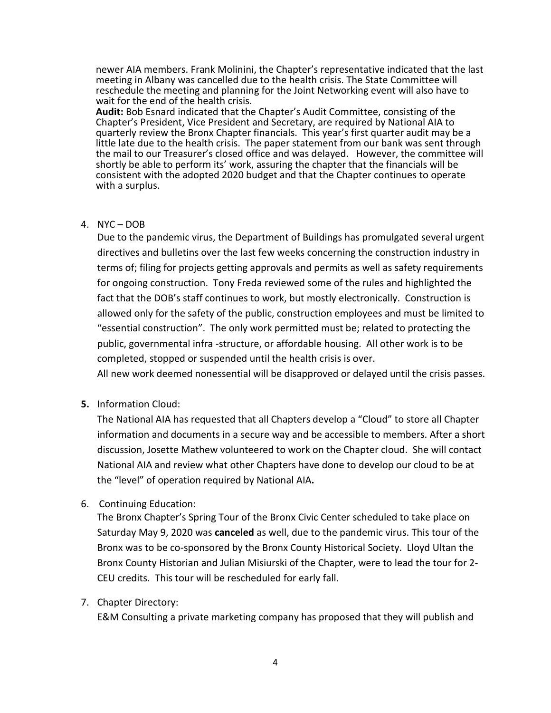newer AIA members. Frank Molinini, the Chapter's representative indicated that the last meeting in Albany was cancelled due to the health crisis. The State Committee will reschedule the meeting and planning for the Joint Networking event will also have to

Audit: Bob Esnard indicated that the Chapter's Audit Committee, consisting of the Chapter's President, Vice President and Secretary, are required by National AIA to quarterly review the Bronx Chapter financials. This year's first quarter audit may be a little late due to the health crisis. The paper statement from our bank was sent through the mail to our Treasurer's closed office and was delayed. However, the committee will shortly be able to perform its' work, assuring the chapter that the financials will be consistent with the adopted 2020 budget and that the Chapter continues to operate with a surplus.

## 4. NYC – DOB

Due to the pandemic virus, the Department of Buildings has promulgated several urgent directives and bulletins over the last few weeks concerning the construction industry in terms of; filing for projects getting approvals and permits as well as safety requirements for ongoing construction. Tony Freda reviewed some of the rules and highlighted the fact that the DOB's staff continues to work, but mostly electronically. Construction is allowed only for the safety of the public, construction employees and must be limited to "essential construction". The only work permitted must be; related to protecting the public, governmental infra -structure, or affordable housing. All other work is to be completed, stopped or suspended until the health crisis is over.

All new work deemed nonessential will be disapproved or delayed until the crisis passes.

**5.** Information Cloud:

The National AIA has requested that all Chapters develop a "Cloud" to store all Chapter information and documents in a secure way and be accessible to members. After a short discussion, Josette Mathew volunteered to work on the Chapter cloud. She will contact National AIA and review what other Chapters have done to develop our cloud to be at the "level" of operation required by National AIA**.** 

6. Continuing Education:

The Bronx Chapter's Spring Tour of the Bronx Civic Center scheduled to take place on Saturday May 9, 2020 was **canceled** as well, due to the pandemic virus. This tour of the Bronx was to be co-sponsored by the Bronx County Historical Society. Lloyd Ultan the Bronx County Historian and Julian Misiurski of the Chapter, were to lead the tour for 2- CEU credits. This tour will be rescheduled for early fall.

7. Chapter Directory:

E&M Consulting a private marketing company has proposed that they will publish and